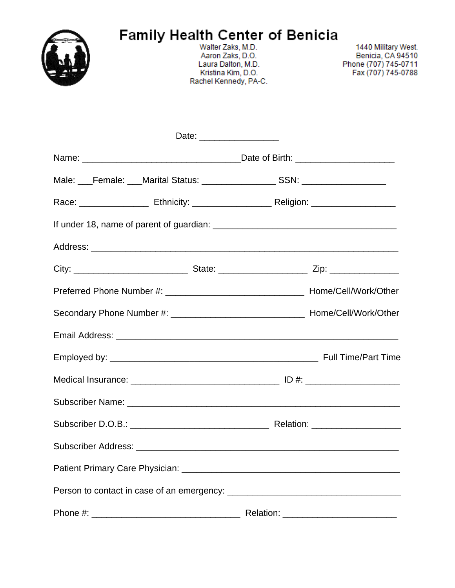

Walter Zaks, M.D. Aaron Zaks, D.O. Laura Dalton, M.D. Kristina Kim, D.O. Rachel Kennedy, PA-C.

1440 Military West. Benicia, CA 94510 Phone (707) 745-0711 Fax (707) 745-0788

| Date: ____________________ |  |
|----------------------------|--|
|                            |  |
|                            |  |
|                            |  |
|                            |  |
|                            |  |
|                            |  |
|                            |  |
|                            |  |
|                            |  |
|                            |  |
|                            |  |
|                            |  |
|                            |  |
|                            |  |
|                            |  |
|                            |  |
|                            |  |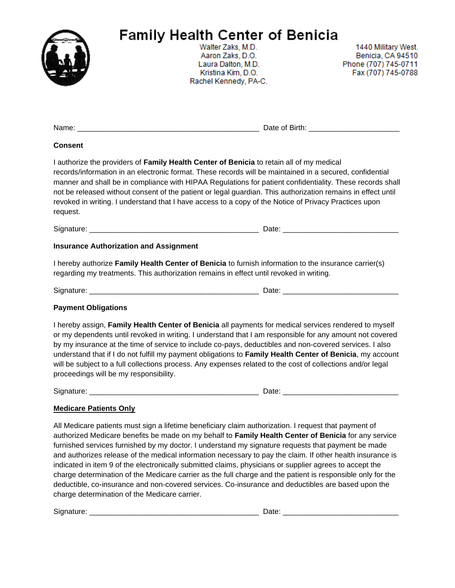

Walter Zaks, M.D. Aaron Zaks, D.O. Laura Dalton, M.D. Kristina Kim, D.O. Rachel Kennedy, PA-C.

1440 Military West. Benicia, CA 94510 Phone (707) 745-0711 Fax (707) 745-0788

| <b>Consent</b>                                                                                                                                                                                                                                                                                                                                                                                                                                                                                                                                         |  |
|--------------------------------------------------------------------------------------------------------------------------------------------------------------------------------------------------------------------------------------------------------------------------------------------------------------------------------------------------------------------------------------------------------------------------------------------------------------------------------------------------------------------------------------------------------|--|
| I authorize the providers of Family Health Center of Benicia to retain all of my medical<br>records/information in an electronic format. These records will be maintained in a secured, confidential<br>manner and shall be in compliance with HIPAA Regulations for patient confidentiality. These records shall<br>not be released without consent of the patient or legal guardian. This authorization remains in effect until<br>revoked in writing. I understand that I have access to a copy of the Notice of Privacy Practices upon<br>request. |  |
|                                                                                                                                                                                                                                                                                                                                                                                                                                                                                                                                                        |  |
| <b>Insurance Authorization and Assignment</b>                                                                                                                                                                                                                                                                                                                                                                                                                                                                                                          |  |
| I hereby authorize Family Health Center of Benicia to furnish information to the insurance carrier(s)<br>regarding my treatments. This authorization remains in effect until revoked in writing.                                                                                                                                                                                                                                                                                                                                                       |  |

Signature: \_\_\_\_\_\_\_\_\_\_\_\_\_\_\_\_\_\_\_\_\_\_\_\_\_\_\_\_\_\_\_\_\_\_\_\_\_\_\_\_\_ Date: \_\_\_\_\_\_\_\_\_\_\_\_\_\_\_\_\_\_\_\_\_\_\_\_\_\_\_\_

### **Payment Obligations**

I hereby assign, **Family Health Center of Benicia** all payments for medical services rendered to myself or my dependents until revoked in writing. I understand that I am responsible for any amount not covered by my insurance at the time of service to include co-pays, deductibles and non-covered services. I also understand that if I do not fulfill my payment obligations to **Family Health Center of Benicia**, my account will be subject to a full collections process. Any expenses related to the cost of collections and/or legal proceedings will be my responsibility.

Signature: \_\_\_\_\_\_\_\_\_\_\_\_\_\_\_\_\_\_\_\_\_\_\_\_\_\_\_\_\_\_\_\_\_\_\_\_\_\_\_\_\_ Date: \_\_\_\_\_\_\_\_\_\_\_\_\_\_\_\_\_\_\_\_\_\_\_\_\_\_\_\_

### **Medicare Patients Only**

All Medicare patients must sign a lifetime beneficiary claim authorization. I request that payment of authorized Medicare benefits be made on my behalf to **Family Health Center of Benicia** for any service furnished services furnished by my doctor. I understand my signature requests that payment be made and authorizes release of the medical information necessary to pay the claim. If other health insurance is indicated in item 9 of the electronically submitted claims, physicians or supplier agrees to accept the charge determination of the Medicare carrier as the full charge and the patient is responsible only for the deductible, co-insurance and non-covered services. Co-insurance and deductibles are based upon the charge determination of the Medicare carrier.

Signature: \_\_\_\_\_\_\_\_\_\_\_\_\_\_\_\_\_\_\_\_\_\_\_\_\_\_\_\_\_\_\_\_\_\_\_\_\_\_\_\_\_ Date: \_\_\_\_\_\_\_\_\_\_\_\_\_\_\_\_\_\_\_\_\_\_\_\_\_\_\_\_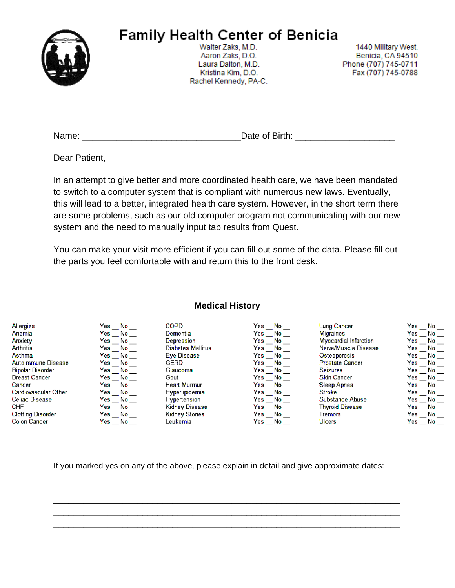

Walter Zaks, M.D. Aaron Zaks, D.O. Laura Dalton, M.D. Kristina Kim, D.O. Rachel Kennedy, PA-C.

1440 Military West. Benicia, CA 94510 Phone (707) 745-0711 Fax (707) 745-0788

| Name: | Date of Birth: |
|-------|----------------|
|       |                |

Dear Patient,

In an attempt to give better and more coordinated health care, we have been mandated to switch to a computer system that is compliant with numerous new laws. Eventually, this will lead to a better, integrated health care system. However, in the short term there are some problems, such as our old computer program not communicating with our new system and the need to manually input tab results from Quest.

You can make your visit more efficient if you can fill out some of the data. Please fill out the parts you feel comfortable with and return this to the front desk.

| <b>Allergies</b>         | Yes.<br>No. | COPD.               | Yes.<br>No.      | Lung Cancer           | Yes.<br>No. |
|--------------------------|-------------|---------------------|------------------|-----------------------|-------------|
| Anemia                   | Yesi<br>No. | Demential           | Yes<br>No.       | Migraines             | Yes<br>No   |
| Anxiety                  | Yes<br>No.  | Depression          | Yes<br>No.       | Myocardial Infarction | Yes.<br>No  |
| Arthritis                | Yes<br>No.  | Diabetes Mellitus   | Yes<br>No        | Nerve/Muscle Disease  | Yes:<br>No. |
| Asthma                   | Yes<br>No.  | Eve Disease         | Yes<br>No.       | Osteoporosis          | Yes<br>No.  |
| Autoimmune Disease       | Yes<br>No.  | <b>GERD</b>         | Yes<br>No        | Prostate Cancer       | Yes<br>No.  |
| <b>Bipolar Disorder</b>  | Yes<br>No.  | Glaucoma            | Yes<br>No.       | <b>Seizures</b>       | Yes<br>No.  |
| <b>Breast Cancer</b>     | Yes<br>No.  | Gout                | Yes<br>No        | <b>Skin Cancer</b>    | Yes<br>No.  |
| Cancer                   | Yes<br>- No | <b>Heart Murmur</b> | Yes<br><b>No</b> | Sleep Apnea           | Yes<br>No.  |
| Cardiovascular Other     | Yes<br>No.  | Hyperlipidemia      | Yes<br>No.       | <b>Stroke</b>         | Yes:<br>No. |
| <b>Celiac Disease</b>    | Yes<br>- No | Hypertension        | Yes<br>No.       | Substance Abuse       | Yes<br>No.  |
| <b>CHF</b>               | Yes<br>No.  | Kidney Disease      | Yes<br>No        | Thyroid Disease       | Yes<br>No   |
| <b>Clotting Disorder</b> | Yes<br>No   | Kidney Stones       | Yes<br>No.       | Tremors               | Yes<br>No.  |
| <b>Colon Cancer</b>      | Yes No      | Leukemia.           | Yes No           | Ulcers                | Yes<br>No   |

If you marked yes on any of the above, please explain in detail and give approximate dates:

\_\_\_\_\_\_\_\_\_\_\_\_\_\_\_\_\_\_\_\_\_\_\_\_\_\_\_\_\_\_\_\_\_\_\_\_\_\_\_\_\_\_\_\_\_\_\_\_\_\_\_\_\_\_\_\_\_\_\_\_\_\_\_\_\_\_\_\_\_\_ \_\_\_\_\_\_\_\_\_\_\_\_\_\_\_\_\_\_\_\_\_\_\_\_\_\_\_\_\_\_\_\_\_\_\_\_\_\_\_\_\_\_\_\_\_\_\_\_\_\_\_\_\_\_\_\_\_\_\_\_\_\_\_\_\_\_\_\_\_\_ \_\_\_\_\_\_\_\_\_\_\_\_\_\_\_\_\_\_\_\_\_\_\_\_\_\_\_\_\_\_\_\_\_\_\_\_\_\_\_\_\_\_\_\_\_\_\_\_\_\_\_\_\_\_\_\_\_\_\_\_\_\_\_\_\_\_\_\_\_\_ \_\_\_\_\_\_\_\_\_\_\_\_\_\_\_\_\_\_\_\_\_\_\_\_\_\_\_\_\_\_\_\_\_\_\_\_\_\_\_\_\_\_\_\_\_\_\_\_\_\_\_\_\_\_\_\_\_\_\_\_\_\_\_\_\_\_\_\_\_\_

### **Medical History**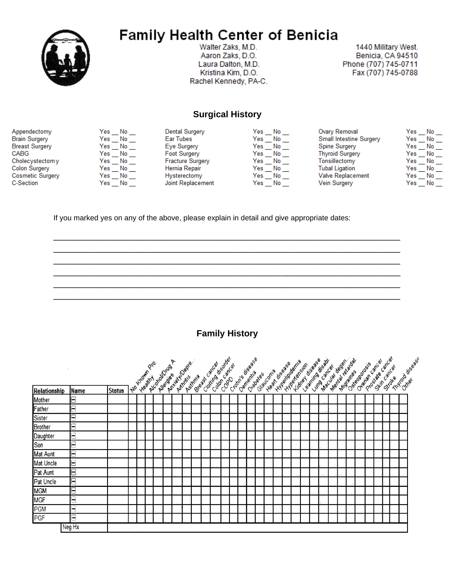

Walter Zaks, M.D. Aaron Zaks, D.O. Laura Dalton, M.D. Kristina Kim, D.O. Rachel Kennedy, PA-C.

1440 Military West. Benicia, CA 94510 Phone (707) 745-0711 Fax (707) 745-0788

### **Surgical History**

| Appendectomy          | Yes<br>No        | Dental Surgery          | Yes<br>No | Ovary Removal                  | Yes<br>No |
|-----------------------|------------------|-------------------------|-----------|--------------------------------|-----------|
| <b>Brain Surgery</b>  | Yes<br>No        | Ear Tubes               | Yes<br>No | <b>Small Intestine Surgery</b> | Yes<br>No |
| <b>Breast Surgery</b> | Yes<br>No        | Eye Surgery             | Yes<br>No | Spine Surgery                  | Yes<br>No |
| CABG                  | Yes<br>No        | <b>Foot Surgery</b>     | Yes<br>No | <b>Thyroid Surgery</b>         | Yes<br>No |
| Cholecystectom y      | No<br>Yes        | <b>Fracture Surgery</b> | Yes<br>No | Tonsillectomy                  | Yes<br>No |
| Colon Surgery         | Yes<br>No        | Hernia Repair           | Yes<br>No | <b>Tubal Ligation</b>          | Yes<br>No |
| Cosmetic Surgery      | Yes<br>No        | Hysterectomy            | Yes<br>No | <b>Valve Replacement</b>       | Yes<br>No |
| <b>C-Section</b>      | <b>No</b><br>Yes | Joint Replacement       | Yes<br>No | Vein Surgery                   | Yes<br>No |
|                       |                  |                         |           |                                |           |

If you marked yes on any of the above, please explain in detail and give appropriate dates:

**Family History** 

|                |                |               | <b>Lyo Known Pro.</b> | Architectura A | Antiety Toepe | ASIMMA | Clating disader<br>Breadst Carcer<br>Color Carca |  | Croting disease | Slaucoma<br>Citabetes | Hygelindema<br>Heat disease |  | Hidrey disease<br>Hyperansion | MacJura Jegen<br>learning disable<br>Lung cancer |  | Mental relations<br>Muzines | Ovanan Cancar<br>Osteoptorsis |  | Prostale carcer | Stin cancal<br>Stroke | Thyroid disgase |
|----------------|----------------|---------------|-----------------------|----------------|---------------|--------|--------------------------------------------------|--|-----------------|-----------------------|-----------------------------|--|-------------------------------|--------------------------------------------------|--|-----------------------------|-------------------------------|--|-----------------|-----------------------|-----------------|
| Relationship   | Name           | <b>Status</b> |                       |                |               |        |                                                  |  |                 |                       |                             |  |                               |                                                  |  |                             |                               |  |                 |                       |                 |
| Mother         | Ξ              |               |                       |                |               |        |                                                  |  |                 |                       |                             |  |                               |                                                  |  |                             |                               |  |                 |                       |                 |
| Father         | Ξ              |               |                       |                |               |        |                                                  |  |                 |                       |                             |  |                               |                                                  |  |                             |                               |  |                 |                       |                 |
| Sister         | Ξ              |               |                       |                |               |        |                                                  |  |                 |                       |                             |  |                               |                                                  |  |                             |                               |  |                 |                       |                 |
| <b>Brother</b> | Ξ              |               |                       |                |               |        |                                                  |  |                 |                       |                             |  |                               |                                                  |  |                             |                               |  |                 |                       |                 |
| Daughter       | Ξ              |               |                       |                |               |        |                                                  |  |                 |                       |                             |  |                               |                                                  |  |                             |                               |  |                 |                       |                 |
| Son            | $\blacksquare$ |               |                       |                |               |        |                                                  |  |                 |                       |                             |  |                               |                                                  |  |                             |                               |  |                 |                       |                 |
| Mat Aunt       | Ξ              |               |                       |                |               |        |                                                  |  |                 |                       |                             |  |                               |                                                  |  |                             |                               |  |                 |                       |                 |
| Mat Uncle      | Ξ              |               |                       |                |               |        |                                                  |  |                 |                       |                             |  |                               |                                                  |  |                             |                               |  |                 |                       |                 |
| Pat Aunt       | Ε              |               |                       |                |               |        |                                                  |  |                 |                       |                             |  |                               |                                                  |  |                             |                               |  |                 |                       |                 |
| Pat Uncle      | Ξ              |               |                       |                |               |        |                                                  |  |                 |                       |                             |  |                               |                                                  |  |                             |                               |  |                 |                       |                 |
| <b>MGM</b>     | Ξ              |               |                       |                |               |        |                                                  |  |                 |                       |                             |  |                               |                                                  |  |                             |                               |  |                 |                       |                 |
| <b>MGF</b>     | Ξ              |               |                       |                |               |        |                                                  |  |                 |                       |                             |  |                               |                                                  |  |                             |                               |  |                 |                       |                 |
| PGM            | Ξ              |               |                       |                |               |        |                                                  |  |                 |                       |                             |  |                               |                                                  |  |                             |                               |  |                 |                       |                 |
| PGF            | $\blacksquare$ |               |                       |                |               |        |                                                  |  |                 |                       |                             |  |                               |                                                  |  |                             |                               |  |                 |                       |                 |
|                | Neg Hx         |               |                       |                |               |        |                                                  |  |                 |                       |                             |  |                               |                                                  |  |                             |                               |  |                 |                       |                 |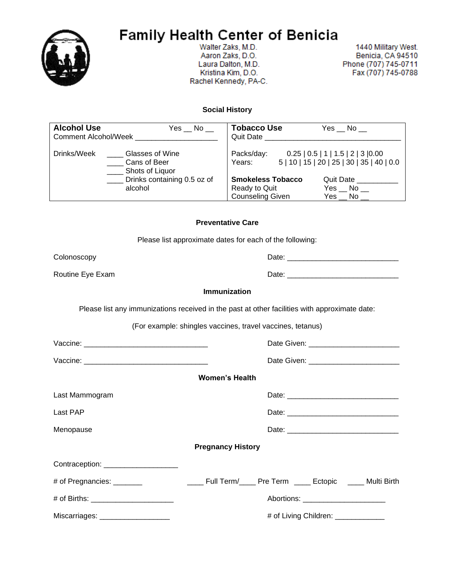

Walter Zaks, M.D. Aaron Zaks, D.O. Laura Dalton, M.D. Kristina Kim, D.O. Rachel Kennedy, PA-C.

1440 Military West. Benicia, CA 94510 Phone (707) 745-0711 Fax (707) 745-0788

#### **Social History**

| <b>Alcohol Use</b><br><b>Comment Alcohol/Week</b> | Yes No                                             | <b>Tobacco Use</b><br>Quit Date                                      | Yes No                                                                            |
|---------------------------------------------------|----------------------------------------------------|----------------------------------------------------------------------|-----------------------------------------------------------------------------------|
| Drinks/Week                                       | Glasses of Wine<br>Cans of Beer<br>Shots of Liquor | Packs/day:<br>Years:                                                 | 0.25   0.5   1   1.5   2   3   0.00<br>5   10   15   20   25   30   35   40   0.0 |
|                                                   | _ Drinks containing 0.5 oz of<br>alcohol           | <b>Smokeless Tobacco</b><br>Ready to Quit<br><b>Counseling Given</b> | Quit Date<br>Yes No<br>Yes No                                                     |
|                                                   |                                                    |                                                                      |                                                                                   |

#### **Preventative Care**

Please list approximate dates for each of the following:

Colonoscopy Date: \_\_\_\_\_\_\_\_\_\_\_\_\_\_\_\_\_\_\_\_\_\_\_\_\_\_\_

Routine Eye Exam and the contract of the Date: \_\_\_\_\_\_\_\_\_\_\_\_\_\_\_\_\_\_\_\_\_\_\_\_\_\_\_\_\_\_\_\_\_\_

**Immunization**

Please list any immunizations received in the past at other facilities with approximate date:

(For example: shingles vaccines, travel vaccines, tetanus)

|                                      | <b>Women's Health</b>                                          |
|--------------------------------------|----------------------------------------------------------------|
| Last Mammogram                       |                                                                |
| Last PAP                             |                                                                |
| Menopause                            |                                                                |
|                                      | <b>Pregnancy History</b>                                       |
| Contraception: _____________________ |                                                                |
| # of Pregnancies: _______            | _____ Full Term/_____ Pre Term _____ Ectopic _____ Multi Birth |
|                                      | Abortions: _________________________                           |
| Miscarriages: ____________________   | # of Living Children: _____________                            |